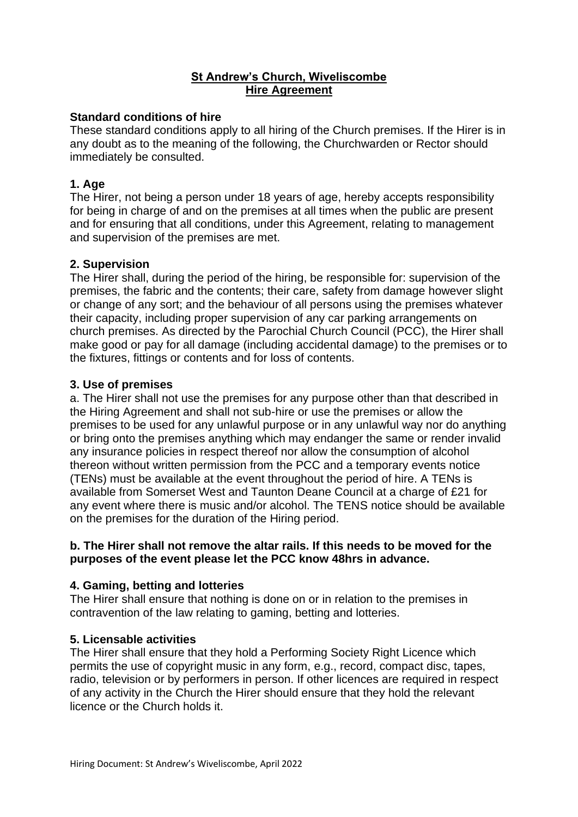# **St Andrew's Church, Wiveliscombe Hire Agreement**

# **Standard conditions of hire**

These standard conditions apply to all hiring of the Church premises. If the Hirer is in any doubt as to the meaning of the following, the Churchwarden or Rector should immediately be consulted.

# **1. Age**

The Hirer, not being a person under 18 years of age, hereby accepts responsibility for being in charge of and on the premises at all times when the public are present and for ensuring that all conditions, under this Agreement, relating to management and supervision of the premises are met.

### **2. Supervision**

The Hirer shall, during the period of the hiring, be responsible for: supervision of the premises, the fabric and the contents; their care, safety from damage however slight or change of any sort; and the behaviour of all persons using the premises whatever their capacity, including proper supervision of any car parking arrangements on church premises. As directed by the Parochial Church Council (PCC), the Hirer shall make good or pay for all damage (including accidental damage) to the premises or to the fixtures, fittings or contents and for loss of contents.

# **3. Use of premises**

a. The Hirer shall not use the premises for any purpose other than that described in the Hiring Agreement and shall not sub-hire or use the premises or allow the premises to be used for any unlawful purpose or in any unlawful way nor do anything or bring onto the premises anything which may endanger the same or render invalid any insurance policies in respect thereof nor allow the consumption of alcohol thereon without written permission from the PCC and a temporary events notice (TENs) must be available at the event throughout the period of hire. A TENs is available from Somerset West and Taunton Deane Council at a charge of £21 for any event where there is music and/or alcohol. The TENS notice should be available on the premises for the duration of the Hiring period.

# **b. The Hirer shall not remove the altar rails. If this needs to be moved for the purposes of the event please let the PCC know 48hrs in advance.**

# **4. Gaming, betting and lotteries**

The Hirer shall ensure that nothing is done on or in relation to the premises in contravention of the law relating to gaming, betting and lotteries.

### **5. Licensable activities**

The Hirer shall ensure that they hold a Performing Society Right Licence which permits the use of copyright music in any form, e.g., record, compact disc, tapes, radio, television or by performers in person. If other licences are required in respect of any activity in the Church the Hirer should ensure that they hold the relevant licence or the Church holds it.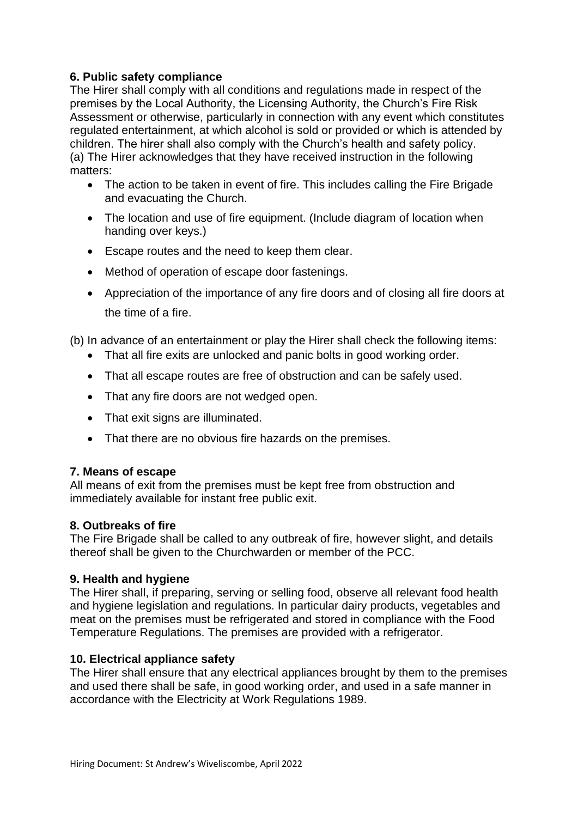# **6. Public safety compliance**

The Hirer shall comply with all conditions and regulations made in respect of the premises by the Local Authority, the Licensing Authority, the Church's Fire Risk Assessment or otherwise, particularly in connection with any event which constitutes regulated entertainment, at which alcohol is sold or provided or which is attended by children. The hirer shall also comply with the Church's health and safety policy. (a) The Hirer acknowledges that they have received instruction in the following matters:

- The action to be taken in event of fire. This includes calling the Fire Brigade and evacuating the Church.
- The location and use of fire equipment. (Include diagram of location when handing over keys.)
- Escape routes and the need to keep them clear.
- Method of operation of escape door fastenings.
- Appreciation of the importance of any fire doors and of closing all fire doors at the time of a fire.

(b) In advance of an entertainment or play the Hirer shall check the following items:

- That all fire exits are unlocked and panic bolts in good working order.
- That all escape routes are free of obstruction and can be safely used.
- That any fire doors are not wedged open.
- That exit signs are illuminated.
- That there are no obvious fire hazards on the premises.

### **7. Means of escape**

All means of exit from the premises must be kept free from obstruction and immediately available for instant free public exit.

### **8. Outbreaks of fire**

The Fire Brigade shall be called to any outbreak of fire, however slight, and details thereof shall be given to the Churchwarden or member of the PCC.

### **9. Health and hygiene**

The Hirer shall, if preparing, serving or selling food, observe all relevant food health and hygiene legislation and regulations. In particular dairy products, vegetables and meat on the premises must be refrigerated and stored in compliance with the Food Temperature Regulations. The premises are provided with a refrigerator.

### **10. Electrical appliance safety**

The Hirer shall ensure that any electrical appliances brought by them to the premises and used there shall be safe, in good working order, and used in a safe manner in accordance with the Electricity at Work Regulations 1989.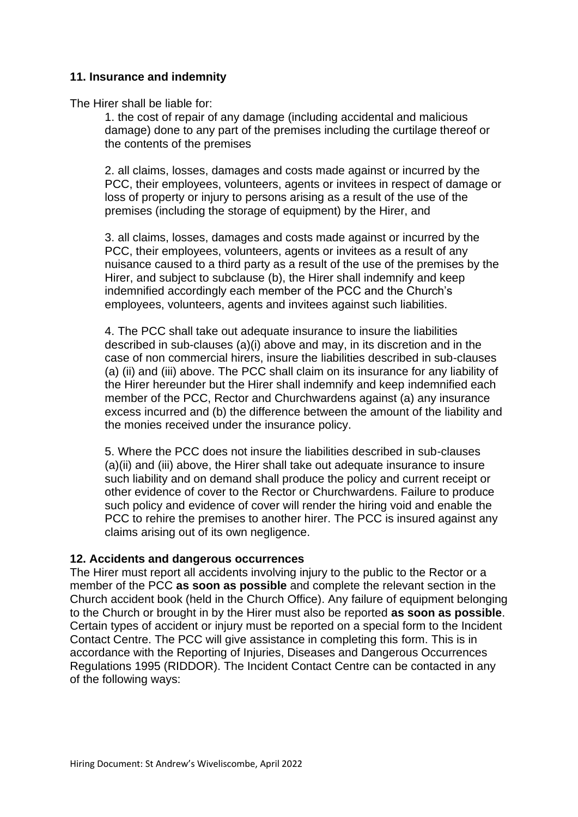# **11. Insurance and indemnity**

The Hirer shall be liable for:

1. the cost of repair of any damage (including accidental and malicious damage) done to any part of the premises including the curtilage thereof or the contents of the premises

2. all claims, losses, damages and costs made against or incurred by the PCC, their employees, volunteers, agents or invitees in respect of damage or loss of property or injury to persons arising as a result of the use of the premises (including the storage of equipment) by the Hirer, and

3. all claims, losses, damages and costs made against or incurred by the PCC, their employees, volunteers, agents or invitees as a result of any nuisance caused to a third party as a result of the use of the premises by the Hirer, and subject to subclause (b), the Hirer shall indemnify and keep indemnified accordingly each member of the PCC and the Church's employees, volunteers, agents and invitees against such liabilities.

4. The PCC shall take out adequate insurance to insure the liabilities described in sub-clauses (a)(i) above and may, in its discretion and in the case of non commercial hirers, insure the liabilities described in sub-clauses (a) (ii) and (iii) above. The PCC shall claim on its insurance for any liability of the Hirer hereunder but the Hirer shall indemnify and keep indemnified each member of the PCC, Rector and Churchwardens against (a) any insurance excess incurred and (b) the difference between the amount of the liability and the monies received under the insurance policy.

5. Where the PCC does not insure the liabilities described in sub-clauses (a)(ii) and (iii) above, the Hirer shall take out adequate insurance to insure such liability and on demand shall produce the policy and current receipt or other evidence of cover to the Rector or Churchwardens. Failure to produce such policy and evidence of cover will render the hiring void and enable the PCC to rehire the premises to another hirer. The PCC is insured against any claims arising out of its own negligence.

### **12. Accidents and dangerous occurrences**

The Hirer must report all accidents involving injury to the public to the Rector or a member of the PCC **as soon as possible** and complete the relevant section in the Church accident book (held in the Church Office). Any failure of equipment belonging to the Church or brought in by the Hirer must also be reported **as soon as possible**. Certain types of accident or injury must be reported on a special form to the Incident Contact Centre. The PCC will give assistance in completing this form. This is in accordance with the Reporting of Injuries, Diseases and Dangerous Occurrences Regulations 1995 (RIDDOR). The Incident Contact Centre can be contacted in any of the following ways: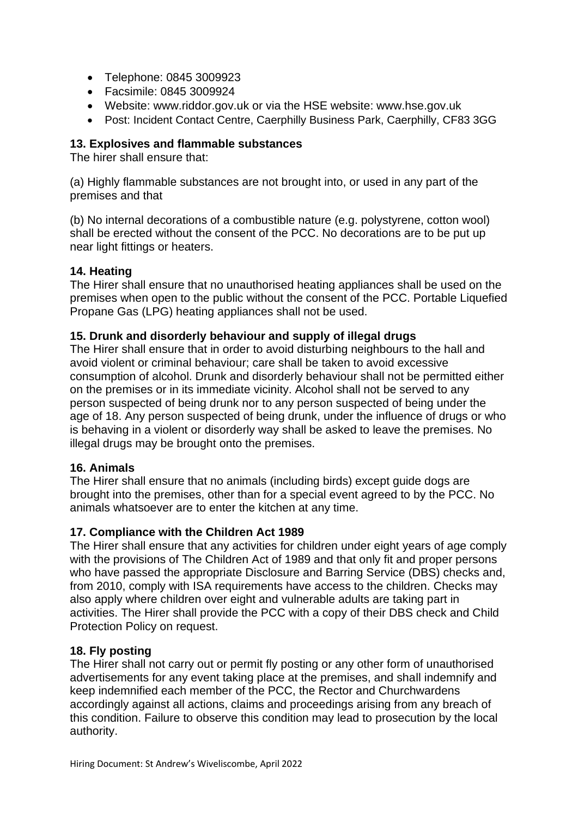- Telephone: 0845 3009923
- Facsimile: 0845 3009924
- Website: www.riddor.gov.uk or via the HSE website: www.hse.gov.uk
- Post: Incident Contact Centre, Caerphilly Business Park, Caerphilly, CF83 3GG

# **13. Explosives and flammable substances**

The hirer shall ensure that:

(a) Highly flammable substances are not brought into, or used in any part of the premises and that

(b) No internal decorations of a combustible nature (e.g. polystyrene, cotton wool) shall be erected without the consent of the PCC. No decorations are to be put up near light fittings or heaters.

# **14. Heating**

The Hirer shall ensure that no unauthorised heating appliances shall be used on the premises when open to the public without the consent of the PCC. Portable Liquefied Propane Gas (LPG) heating appliances shall not be used.

# **15. Drunk and disorderly behaviour and supply of illegal drugs**

The Hirer shall ensure that in order to avoid disturbing neighbours to the hall and avoid violent or criminal behaviour; care shall be taken to avoid excessive consumption of alcohol. Drunk and disorderly behaviour shall not be permitted either on the premises or in its immediate vicinity. Alcohol shall not be served to any person suspected of being drunk nor to any person suspected of being under the age of 18. Any person suspected of being drunk, under the influence of drugs or who is behaving in a violent or disorderly way shall be asked to leave the premises. No illegal drugs may be brought onto the premises.

### **16. Animals**

The Hirer shall ensure that no animals (including birds) except guide dogs are brought into the premises, other than for a special event agreed to by the PCC. No animals whatsoever are to enter the kitchen at any time.

### **17. Compliance with the Children Act 1989**

The Hirer shall ensure that any activities for children under eight years of age comply with the provisions of The Children Act of 1989 and that only fit and proper persons who have passed the appropriate Disclosure and Barring Service (DBS) checks and, from 2010, comply with ISA requirements have access to the children. Checks may also apply where children over eight and vulnerable adults are taking part in activities. The Hirer shall provide the PCC with a copy of their DBS check and Child Protection Policy on request.

### **18. Fly posting**

The Hirer shall not carry out or permit fly posting or any other form of unauthorised advertisements for any event taking place at the premises, and shall indemnify and keep indemnified each member of the PCC, the Rector and Churchwardens accordingly against all actions, claims and proceedings arising from any breach of this condition. Failure to observe this condition may lead to prosecution by the local authority.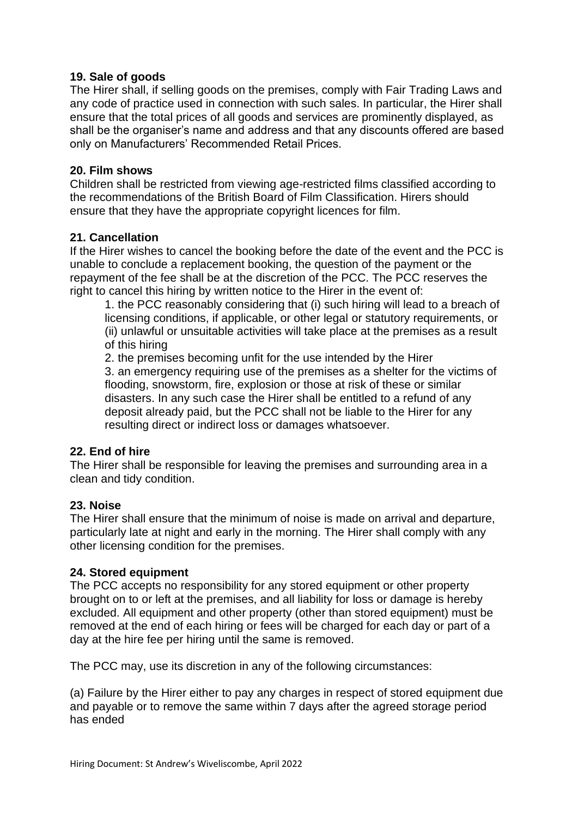### **19. Sale of goods**

The Hirer shall, if selling goods on the premises, comply with Fair Trading Laws and any code of practice used in connection with such sales. In particular, the Hirer shall ensure that the total prices of all goods and services are prominently displayed, as shall be the organiser's name and address and that any discounts offered are based only on Manufacturers' Recommended Retail Prices.

### **20. Film shows**

Children shall be restricted from viewing age-restricted films classified according to the recommendations of the British Board of Film Classification. Hirers should ensure that they have the appropriate copyright licences for film.

### **21. Cancellation**

If the Hirer wishes to cancel the booking before the date of the event and the PCC is unable to conclude a replacement booking, the question of the payment or the repayment of the fee shall be at the discretion of the PCC. The PCC reserves the right to cancel this hiring by written notice to the Hirer in the event of:

1. the PCC reasonably considering that (i) such hiring will lead to a breach of licensing conditions, if applicable, or other legal or statutory requirements, or (ii) unlawful or unsuitable activities will take place at the premises as a result of this hiring

2. the premises becoming unfit for the use intended by the Hirer

3. an emergency requiring use of the premises as a shelter for the victims of flooding, snowstorm, fire, explosion or those at risk of these or similar disasters. In any such case the Hirer shall be entitled to a refund of any deposit already paid, but the PCC shall not be liable to the Hirer for any resulting direct or indirect loss or damages whatsoever.

### **22. End of hire**

The Hirer shall be responsible for leaving the premises and surrounding area in a clean and tidy condition.

### **23. Noise**

The Hirer shall ensure that the minimum of noise is made on arrival and departure, particularly late at night and early in the morning. The Hirer shall comply with any other licensing condition for the premises.

### **24. Stored equipment**

The PCC accepts no responsibility for any stored equipment or other property brought on to or left at the premises, and all liability for loss or damage is hereby excluded. All equipment and other property (other than stored equipment) must be removed at the end of each hiring or fees will be charged for each day or part of a day at the hire fee per hiring until the same is removed.

The PCC may, use its discretion in any of the following circumstances:

(a) Failure by the Hirer either to pay any charges in respect of stored equipment due and payable or to remove the same within 7 days after the agreed storage period has ended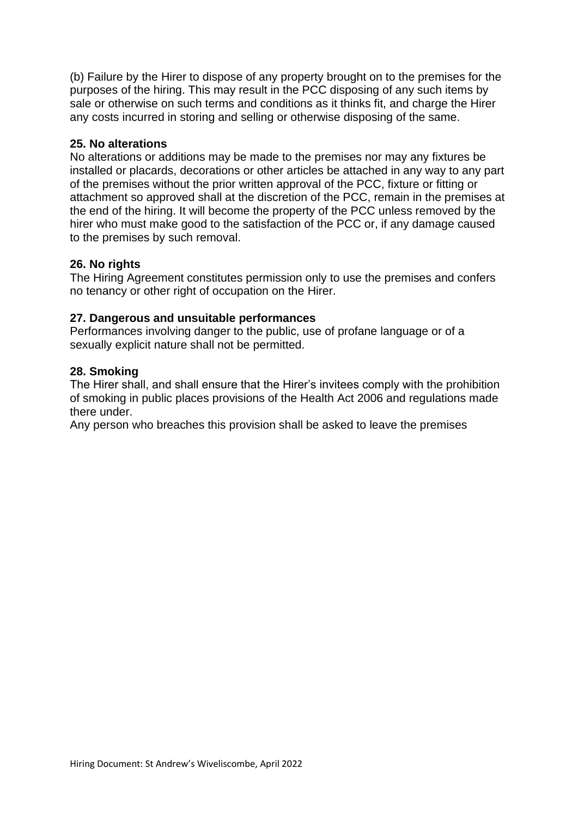(b) Failure by the Hirer to dispose of any property brought on to the premises for the purposes of the hiring. This may result in the PCC disposing of any such items by sale or otherwise on such terms and conditions as it thinks fit, and charge the Hirer any costs incurred in storing and selling or otherwise disposing of the same.

### **25. No alterations**

No alterations or additions may be made to the premises nor may any fixtures be installed or placards, decorations or other articles be attached in any way to any part of the premises without the prior written approval of the PCC, fixture or fitting or attachment so approved shall at the discretion of the PCC, remain in the premises at the end of the hiring. It will become the property of the PCC unless removed by the hirer who must make good to the satisfaction of the PCC or, if any damage caused to the premises by such removal.

### **26. No rights**

The Hiring Agreement constitutes permission only to use the premises and confers no tenancy or other right of occupation on the Hirer.

### **27. Dangerous and unsuitable performances**

Performances involving danger to the public, use of profane language or of a sexually explicit nature shall not be permitted.

### **28. Smoking**

The Hirer shall, and shall ensure that the Hirer's invitees comply with the prohibition of smoking in public places provisions of the Health Act 2006 and regulations made there under.

Any person who breaches this provision shall be asked to leave the premises